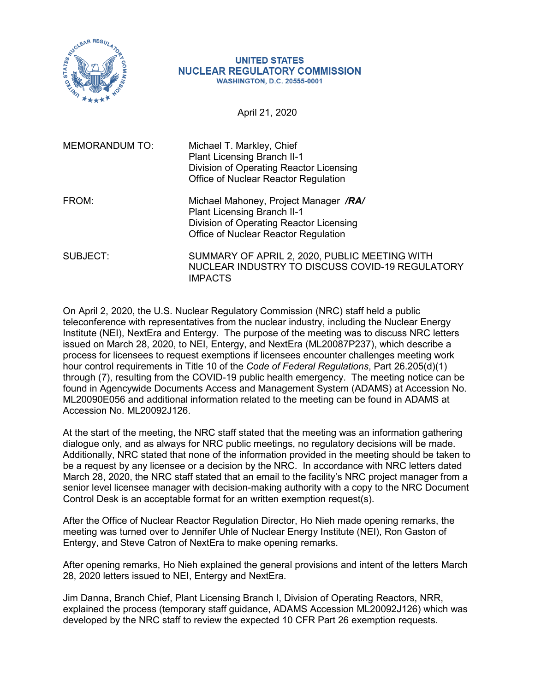

#### **UNITED STATES NUCLEAR REGULATORY COMMISSION WASHINGTON, D.C. 20555-0001**

April 21, 2020

| <b>MEMORANDUM TO:</b> | Michael T. Markley, Chief<br><b>Plant Licensing Branch II-1</b><br>Division of Operating Reactor Licensing<br>Office of Nuclear Reactor Regulation             |
|-----------------------|----------------------------------------------------------------------------------------------------------------------------------------------------------------|
| FROM:                 | Michael Mahoney, Project Manager /RA/<br><b>Plant Licensing Branch II-1</b><br>Division of Operating Reactor Licensing<br>Office of Nuclear Reactor Regulation |
| SUBJECT:              | SUMMARY OF APRIL 2, 2020, PUBLIC MEETING WITH<br>NUCLEAR INDUSTRY TO DISCUSS COVID-19 REGULATORY<br><b>IMPACTS</b>                                             |

On April 2, 2020, the U.S. Nuclear Regulatory Commission (NRC) staff held a public teleconference with representatives from the nuclear industry, including the Nuclear Energy Institute (NEI), NextEra and Entergy. The purpose of the meeting was to discuss NRC letters issued on March 28, 2020, to NEI, Entergy, and NextEra (ML20087P237), which describe a process for licensees to request exemptions if licensees encounter challenges meeting work hour control requirements in Title 10 of the *Code of Federal Regulations*, Part 26.205(d)(1) through (7), resulting from the COVID-19 public health emergency. The meeting notice can be found in Agencywide Documents Access and Management System (ADAMS) at Accession No. ML20090E056 and additional information related to the meeting can be found in ADAMS at Accession No. ML20092J126.

At the start of the meeting, the NRC staff stated that the meeting was an information gathering dialogue only, and as always for NRC public meetings, no regulatory decisions will be made. Additionally, NRC stated that none of the information provided in the meeting should be taken to be a request by any licensee or a decision by the NRC. In accordance with NRC letters dated March 28, 2020, the NRC staff stated that an email to the facility's NRC project manager from a senior level licensee manager with decision-making authority with a copy to the NRC Document Control Desk is an acceptable format for an written exemption request(s).

After the Office of Nuclear Reactor Regulation Director, Ho Nieh made opening remarks, the meeting was turned over to Jennifer Uhle of Nuclear Energy Institute (NEI), Ron Gaston of Entergy, and Steve Catron of NextEra to make opening remarks.

After opening remarks, Ho Nieh explained the general provisions and intent of the letters March 28, 2020 letters issued to NEI, Entergy and NextEra.

Jim Danna, Branch Chief, Plant Licensing Branch I, Division of Operating Reactors, NRR, explained the process (temporary staff guidance, ADAMS Accession ML20092J126) which was developed by the NRC staff to review the expected 10 CFR Part 26 exemption requests.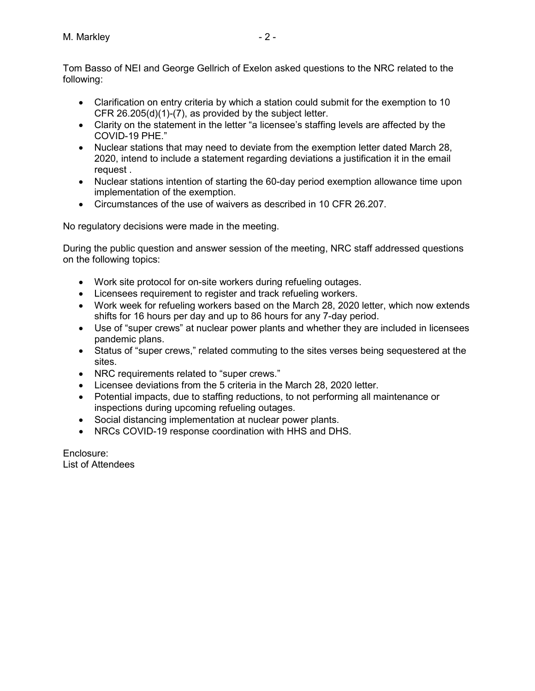Tom Basso of NEI and George Gellrich of Exelon asked questions to the NRC related to the following:

- Clarification on entry criteria by which a station could submit for the exemption to 10 CFR 26.205(d)(1)-(7), as provided by the subject letter.
- Clarity on the statement in the letter "a licensee's staffing levels are affected by the COVID-19 PHE."
- Nuclear stations that may need to deviate from the exemption letter dated March 28, 2020, intend to include a statement regarding deviations a justification it in the email request .
- Nuclear stations intention of starting the 60-day period exemption allowance time upon implementation of the exemption.
- Circumstances of the use of waivers as described in 10 CFR 26.207.

No regulatory decisions were made in the meeting.

During the public question and answer session of the meeting, NRC staff addressed questions on the following topics:

- Work site protocol for on-site workers during refueling outages.
- Licensees requirement to register and track refueling workers.
- Work week for refueling workers based on the March 28, 2020 letter, which now extends shifts for 16 hours per day and up to 86 hours for any 7-day period.
- Use of "super crews" at nuclear power plants and whether they are included in licensees pandemic plans.
- Status of "super crews," related commuting to the sites verses being sequestered at the sites.
- NRC requirements related to "super crews."
- Licensee deviations from the 5 criteria in the March 28, 2020 letter.
- Potential impacts, due to staffing reductions, to not performing all maintenance or inspections during upcoming refueling outages.
- Social distancing implementation at nuclear power plants.
- NRCs COVID-19 response coordination with HHS and DHS.

Enclosure: List of Attendees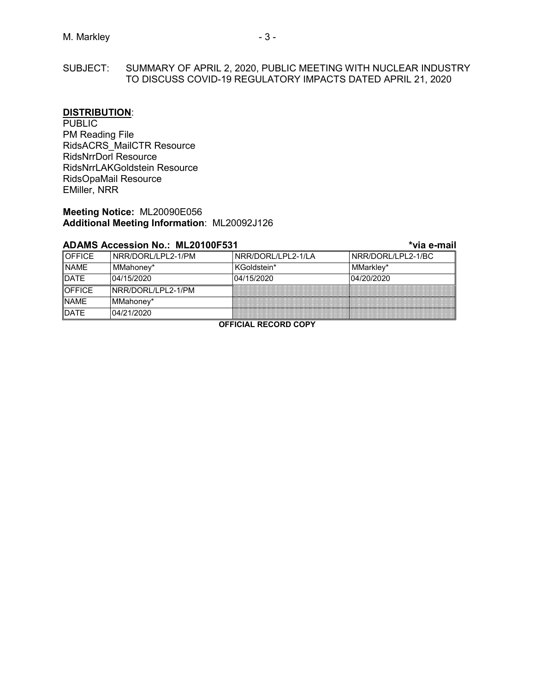### SUBJECT: SUMMARY OF APRIL 2, 2020, PUBLIC MEETING WITH NUCLEAR INDUSTRY TO DISCUSS COVID-19 REGULATORY IMPACTS DATED APRIL 21, 2020

#### **DISTRIBUTION**:

**PUBLIC** PM Reading File RidsACRS\_MailCTR Resource RidsNrrDorl Resource RidsNrrLAKGoldstein Resource RidsOpaMail Resource EMiller, NRR

### **Meeting Notice:** ML20090E056 **Additional Meeting Information**: ML20092J126

|               | ADAMƏ ALLESSIDII NO MILLU IUUL ƏJ I |                    | via e-man           |
|---------------|-------------------------------------|--------------------|---------------------|
| <b>OFFICE</b> | NRR/DORL/LPL2-1/PM                  | NRR/DORL/LPL2-1/LA | INRR/DORL/LPL2-1/BC |
| <b>NAME</b>   | MMahoney*                           | KGoldstein*        | MMarkley*           |
| <b>DATE</b>   | 04/15/2020                          | 04/15/2020         | 04/20/2020          |
| <b>OFFICE</b> | INRR/DORL/LPL2-1/PM                 |                    |                     |
| <b>NAME</b>   | MMahoney*                           |                    |                     |
| <b>DATE</b>   | 04/21/2020                          |                    |                     |
|               |                                     |                    |                     |

## **ADAMS Accession No.: ML20100F531 \*via e-mail**

**OFFICIAL RECORD COPY**